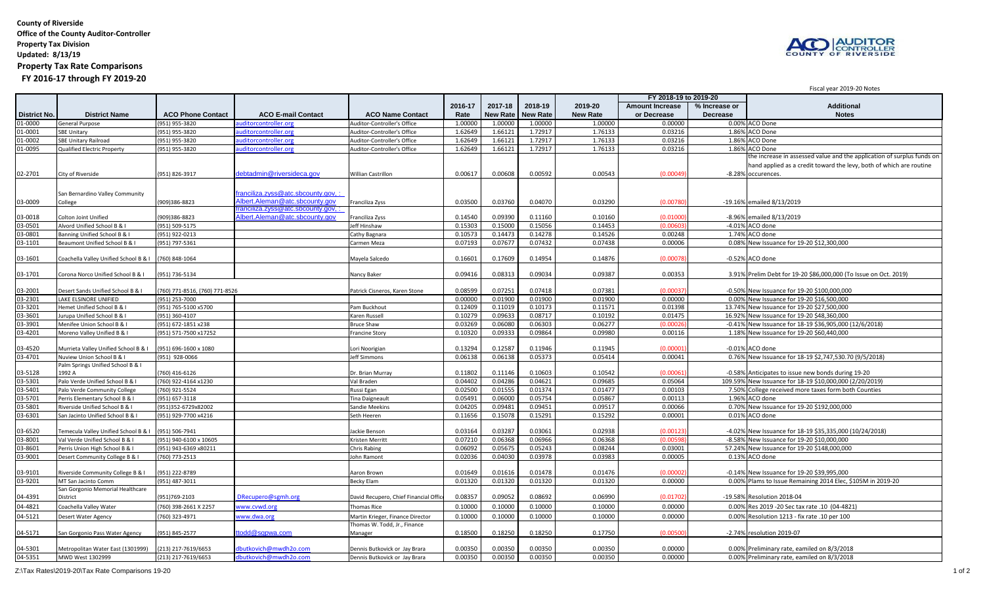**County of Riverside Office of the County Auditor-Controller Property Tax Division Updated: 8/13/19 Property Tax Rate Comparisons FY 2016-17 through FY 2019-20**



Fiscal year 2019-20 Notes

## **2016-17 2017-18 2018-19 2019-20 Amount Increase % Increase or Additional District No. District Name ACO Phone Contact ACO E-mail Contact ACO Name Contact Rate New Rate New Rate New Rate or Decrease Decrease Notes** 01-0000 General Purpose (951) 955-3820 auditorcontroller.org Auditor-Controller's Office 1.00000 1.00000 1.00000 1.00000 0.00000 0.00% ACO Done 01-0001 SBE Unitary 1.86% ACO Done (951) 955-3820 <u>auditorcontroller.org</u> Auditor-Controller's Office 1.62649 1.66121 1.72917 1.77917 1.76133 0.03216 1.86% ACO Done 01-0002 SBE Unitary Railroad (951) 955-3820 <u>auditorcontroller.org</u> Auditor-Controller's Office 1.62649 1.66121 1.72917 1.76133 0.03216 1.86% ACO Done 01-0095 Qualified Electric Property (951) 955-3820 <u>auditorcontroller.org</u> Auditor-Controller's Office 1.62649 1.66121 1.72917 1.76133 0.03216 1.86% ACO Done 02-2701 City of Riverside (951) 826-3917 [debtadmin@riversideca.gov](mailto:debtadmin@riversideca.gov#) Willian Castrillon 0.00617 0.00608 0.00592 0.00543 (0.00049) -8.28% the increase in assessed value and the application of surplus funds on hand applied as a credit toward the levy, both of which are routine -8.28% occurences. 03-0009 San Bernardino Valley Community College (909)386-8823 [franciliza.zyss@atc.sbcounty.gov, :](mailto:franciliza.zyss@atc.sbcounty.gov)  [Albert.Aleman@atc.sbcounty.gov](mailto:franciliza.zyss@atc.sbcounty.gov) Franciliza Zyss 0.03500 0.03760 0.04070 0.03290 (0.00780) -19.16% emailed 8/13/2019 03-0018 Colton Joint Unified (909)386-8823<br>03-0501 Alvord Unified School B & I (951) 509-5175 [franciliza.zyss@atc.sbcounty.gov, :](mailto:franciliza.zyss@atc.sbcounty.gov#)  [Albert.Aleman@atc.sbcounty.gov](mailto:franciliza.zyss@atc.sbcounty.gov#) Franciliza Zyss 0.14540 0.09390 0.11160 0.10160 (0.01000) -8.96% emailed 8/13/2019 03-0501 Alvord Unified School B & I (951) 509-5175 Jeff Hinshaw 0.15303 0.15000 0.15056 0.14453 (0.00603) -4.01% ACO done 03-0801 Banning Unified School B & I (951) 922-0213 Cathy Bagnara Cathy Bagnara Cathy Bagnara Cathy Bagnara Cathy Bagnara Cathy Bagnara Cathy Bagnara Cathy Bagnara Cathy Bagnara Cathy Bagnara Cathy Bagnara Cathy Bagnara Ca 03-1101 Beaumont Unified School B & I (951) 797-5361 Carmen Meza Carmen Meza Carmen Meza 0.07193 0.07677 0.07432 0.07438 0.00006 0.08% New Issuance for 19-20 \$12,300,000 03-1601 Coachella Valley Unified School B & I (760) 848-1064 Mayela Salcedo 0.16601 0.17609 0.14954 0.14876 (0.00078) -0.52% ACO done 03-1701 Corona Norco Unified School B & I (951) 736-5134 Nancy Baker 0.09416 0.08313 0.09034 0.09387 0.00353 3.91% Prelim Debt for 19-20 \$86,000,000 (To Issue on Oct. 2019)  $\begin{array}{|l|l|} \hline \text{03-2001} & \text{Desert Sands United School B & (760) 771-8516, (760) 771-8526 & \text{Patrick Cisneros, Karen Stone} \hline \text{03-2001} & \text{0.07251} & \text{0.07418} & \text{0.07381} & \text{(0.00007) } \hline \text{03-2301} & \text{(0.00000)} & \text{(0.00000)} & \text{(0.00000)} \hline \text{03-2301} & \text{(0.00000$ 0.00% New Issuance for 19-20 \$16,500,000 03-3201 Hemet Unified School B & I (951) 765-5100 x5700 Pam Buckhout Pam Buckhout Pam Buckhout Pam Buckhout Pam Buckhout 0.12409 0.12409 0.121019 0.10173 0.11571 0.12571 0.01398 13.74% New Issuance for 19-20 \$27,500,000 Pa 1930 Jurupa Unified School B & I (1951) 360-4107 (1951) 360-4107 (2003-2010) Maren Russell Karen Russell (2010 279 | 0.08717 0.08717 0.08717 0.10192 0.08717 0.08717 16.92% New Issuance for 19-20 \$48,360,000 [19] 20.08717 03-3901 Menifee Union School B & I (951) 672-1851 x238 | Menifee Union School B & I (951) 672-1851 x238 | Bruce Shaw | Bruce Shaw | 0.03269 | 0.06080 | 0.06303 | 0.06277 | (0.00026) -0.41% New Issuance for 18-19 \$36,905,00 03-4201 Moreno Valley Unified B & I (951) 571-7500 x17252 Francine Story Francine Story Francine Story (0.09333 0.09864 0.09980 0.09380 0.00116 1.18% New Issuance for 19-20 \$60,440,000 03-4520 | Murrieta Valley Unified School B & L | (951) 696-1600 x 1080 Lori Noorigian | Lori Noorigian | 0.13294 | 0.13294 | 0.13294 0.11946 | 0.11945 | 0.1094 | 0.00001) -0.01% ACO done 03-4701 Nuview Union School B & I (951) 928-0066 | Muview Union School B & I (951) 928-0066 | Deff Simmons | Deff Simmons | 0.06138 | 0.06138 | 0.06138 | 0.06373 | 0.05414 | 0.00041 | 0.76% New Issuance for 18-19 \$2,747,53 03-5128 Palm Springs Unified School B & I 1992 A (760) 416-6126 Dr. Brian Murray 0.11802 0.11146 0.10603 0.10542 (0.00061) -0.58% Anticipates to issue new bonds during 19-20 03-5301 Palo Verde Unified School B & I (760) 922-4164 x1230 Val Braden 0.04402 0.04286 0.04621 0.09685 0.05064 109.59% New Issuance for 18-19 \$10,000,000 (2/20/2019) Palo Verde Community College (760) 921-5524 | Mussi Egan | Russi Egan | 0.02500 0.01555 0.01374 0.01477 0.01477 7.50% College received more taxes form both Counties 03-5701 Perris Elementary School B & I (951) 657-3118 That Daigneault Tina Daigneault | 0.05491 0.06000 0.05754 0.05867 0.00113 | 1.96% ACO done 03-5801 Riverside Unified School B & I (951)352-6729x82002 V Sandie Meekins (Sandie Meekins (0.04205 0.09481 0.09451 0.09517 0.00066 0.70% New Issuance for 19-20 \$192,000,000 03-6301 San Jacinto Unified School B & I (951) 929-7700 x4216 Seth Heeren 0.11656 0.15078 0.15291 0.15292 0.00001 0.01% ACO done 03-6520 Temecula Valley Unified School B & I (951) 506-7941 Jackie Benson Jackie Benson Jackie Benson Jackie Benson D.03164 0.03287 0.03061 0.02938 (0.00123) -4.02% New Issuance for 18-19 \$35,335,000 (10/24/2018)<br>0.078001 Val Verde Unified School B & I (951) 940-6100 x 10605 (New Issuance for 19-20 \$10,000,000 New Issuance for 19-20 \$10,000,000 New Issuance for 19-20 \$10,000,000 New Issuance for 19-20 \$10,000,000 03-8601 Perris Union High School B & I (951) 943-6369 x80211 Chris Rabing Chris Rabing C0.06092 0.05675 0.05243 0.08244 0.08201 57.24% New Issuance for 19-20 \$148,000,000<br>0.03901 Desert Community College B & I (760) 773-25 03-9001 |Desert Community College B & I |(760) 773-2513 | Desert | College B | Desert | College B | 0.03978 | 0.02036 | 0.03978 | 0.03978 | 0.00005 | 0.03983 | 0.00005 | 0.03978 | 0.02036 | 0.03978 | 0.02036 | 0.03978 | 0. 03-9101 Riverside Community College B & I (1951) 222-8789 Aaron Brown Aaron Brown Aaron Brown (0.01649 0.01616 0.01478 0.01478 (0.00002) -0.14% New Issuance for 19-20 \$39.995,000 Aprovide Community College B & I (1951) 22-03-9201 MT San Jacinto Comm (951) 487-3011 | MT San Jacinto Comm (951) 487-3011 | Becky Elam | Becky Elam | 0.01320 | 0.01320 | 0.01320 | 0.01320 | 0.01320 | 0.01320 | 0.00000 0 0.00% Plams to Issue Remaining 2014 Elec, \$1 04-4391 San Gorgonio Memorial Healthcare District (951)769-2103 <u>DRecupero@sgmh.org</u> David Recupero, Chief Financial Office 0.08357 0.09052 0.08692 0.08692 0.06990 (0.01702) -19.58% Resolution 2018-04 04-4821 Coachella Valley Water (760) 398-2661 X 2257 [www.cvwd.org](http://www.cvwd.org/#) Thomas Rice 10.10000 0.10000 0.10000 0.10000 0.10000 0.0000 0.0000 0.0000 0.0000 0.0000 0.0000 0.0000 0.0000 0.0000 0.0000 0.0000 0.0000 0.10000 0.10000 0.1 04-5121 Desert Water Agency (760) 323-4971 [www.dwa.org](http://www.dwa.org/#) Martin Krieger, Finance Director 0.10000 0.10000 0.10000 0.10000 0.10000 0.10000 0.10000 0.10000 0.00000 0.00000 0.0000 0.0000 0.0000 0.0000 0.0000 0.0000 0.0000 0.000 04-5171 San Gorgonio Pass Water Agency (951) 845-2577 ttodd@sqpwa.com Thomas W. Todd, Jr., Finance Manager 0.18500 0.18250 0.18250 0.17750 (0.00500) -2.74% resolution 2019-07 04-5301 Metropolitan Water East (1301999) (213) 217-7619/6653 [dbutkovich@mwdh2o.com](mailto:dbutkovich@mwdh2o.com#) Dennis Butkovick or Jay Brara 0.00350 0.00350 0.00350 0.00350 0.00350 0.00350 0.00350 0.00350 0.0000 0.00% Preliminary rate, eamiled on 8/ 04-5351 MWD West 1302999 (213) 217-7619/6653 [dbutkovich@mwdh2o.com](mailto:dbutkovich@mwdh2o.com#) Dennis Butkovick or Jay Brara 0.00350 0.00350 0.00350 0.00350 0.00350 0.00350 0.00350 0.00350 0.0000 0.0000 0.00% Preliminary rate, eamiled on 8/3/2018 **FY 2018-19 to 2019-20**

Z:\Tax Rates\2019-20\Tax Rate Comparisons 19-20 1 of 2